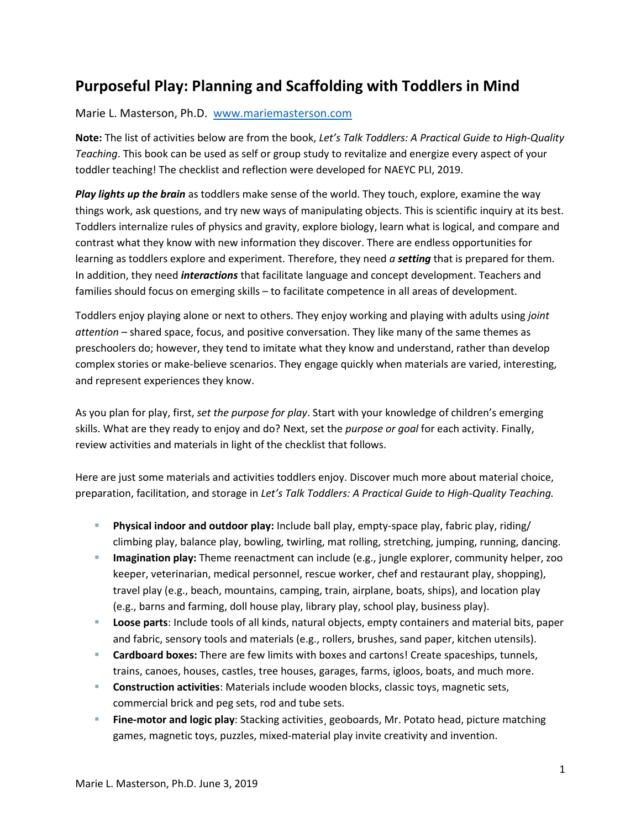## **Purposeful Play: Planning and Scaffolding with Toddlers in Mind**

## Marie L. Masterson, Ph.D. [www.mariemasterson.com](http://www.mariemasterson.com/)

**Note:** The list of activities below are from the book, *Let's Talk Toddlers: A Practical Guide to High-Quality Teaching*. This book can be used as self or group study to revitalize and energize every aspect of your toddler teaching! The checklist and reflection were developed for NAEYC PLI, 2019.

*Play lights up the brain* as toddlers make sense of the world. They touch, explore, examine the way things work, ask questions, and try new ways of manipulating objects. This is scientific inquiry at its best. Toddlers internalize rules of physics and gravity, explore biology, learn what is logical, and compare and contrast what they know with new information they discover. There are endless opportunities for learning as toddlers explore and experiment. Therefore, they need *a setting* that is prepared for them*.* In addition, they need *interactions* that facilitate language and concept development. Teachers and families should focus on emerging skills – to facilitate competence in all areas of development.

Toddlers enjoy playing alone or next to others. They enjoy working and playing with adults using *joint attention* – shared space, focus, and positive conversation. They like many of the same themes as preschoolers do; however, they tend to imitate what they know and understand, rather than develop complex stories or make-believe scenarios. They engage quickly when materials are varied, interesting, and represent experiences they know.

As you plan for play, first, *set the purpose for play*. Start with your knowledge of children's emerging skills. What are they ready to enjoy and do? Next, set the *purpose or goal* for each activity. Finally, review activities and materials in light of the checklist that follows.

Here are just some materials and activities toddlers enjoy. Discover much more about material choice, preparation, facilitation, and storage in *Let's Talk Toddlers: A Practical Guide to High-Quality Teaching.* 

- **Physical indoor and outdoor play:** Include ball play, empty-space play, fabric play, riding/ climbing play, balance play, bowling, twirling, mat rolling, stretching, jumping, running, dancing.
- **Imagination play:** Theme reenactment can include (e.g., jungle explorer, community helper, zoo keeper, veterinarian, medical personnel, rescue worker, chef and restaurant play, shopping), travel play (e.g., beach, mountains, camping, train, airplane, boats, ships), and location play (e.g., barns and farming, doll house play, library play, school play, business play).
- **Loose parts**: Include tools of all kinds, natural objects, empty containers and material bits, paper and fabric, sensory tools and materials (e.g., rollers, brushes, sand paper, kitchen utensils).
- **Cardboard boxes:** There are few limits with boxes and cartons! Create spaceships, tunnels, trains, canoes, houses, castles, tree houses, garages, farms, igloos, boats, and much more.
- **Construction activities**: Materials include wooden blocks, classic toys, magnetic sets, commercial brick and peg sets, rod and tube sets.
- **Fine-motor and logic play**: Stacking activities¸ geoboards, Mr. Potato head, picture matching games, magnetic toys, puzzles, mixed-material play invite creativity and invention.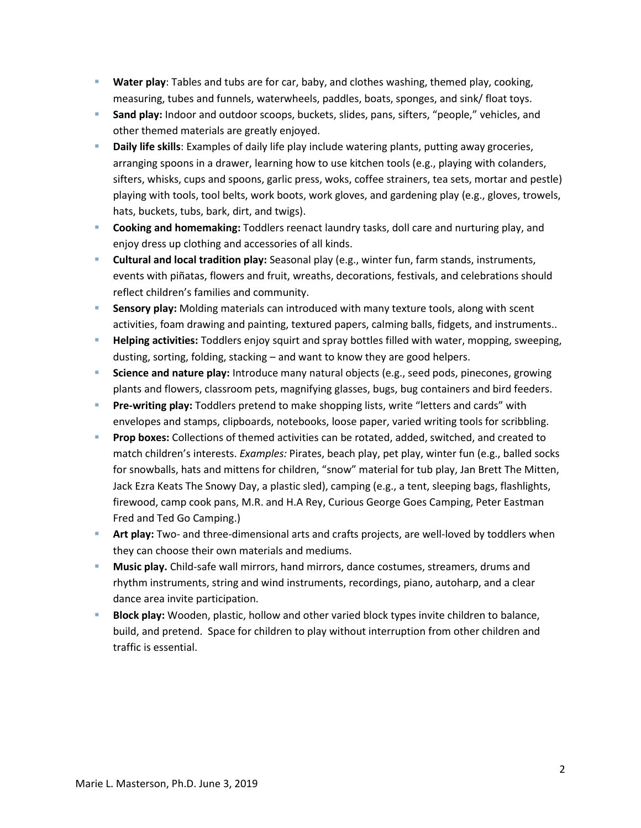- **Water play**: Tables and tubs are for car, baby, and clothes washing, themed play, cooking, measuring, tubes and funnels, waterwheels, paddles, boats, sponges, and sink/ float toys.
- **Sand play:** Indoor and outdoor scoops, buckets, slides, pans, sifters, "people," vehicles, and other themed materials are greatly enjoyed.
- **Daily life skills**: Examples of daily life play include watering plants, putting away groceries, arranging spoons in a drawer, learning how to use kitchen tools (e.g., playing with colanders, sifters, whisks, cups and spoons, garlic press, woks, coffee strainers, tea sets, mortar and pestle) playing with tools, tool belts, work boots, work gloves, and gardening play (e.g., gloves, trowels, hats, buckets, tubs, bark, dirt, and twigs).
- **Cooking and homemaking:** Toddlers reenact laundry tasks, doll care and nurturing play, and enjoy dress up clothing and accessories of all kinds.
- **Cultural and local tradition play:** Seasonal play (e.g., winter fun, farm stands, instruments, events with piñatas, flowers and fruit, wreaths, decorations, festivals, and celebrations should reflect children's families and community.
- **Sensory play:** Molding materials can introduced with many texture tools, along with scent activities, foam drawing and painting, textured papers, calming balls, fidgets, and instruments..
- **Helping activities:** Toddlers enjoy squirt and spray bottles filled with water, mopping, sweeping, dusting, sorting, folding, stacking – and want to know they are good helpers.
- **Science and nature play:** Introduce many natural objects (e.g., seed pods, pinecones, growing plants and flowers, classroom pets, magnifying glasses, bugs, bug containers and bird feeders.
- **Pre-writing play:** Toddlers pretend to make shopping lists, write "letters and cards" with envelopes and stamps, clipboards, notebooks, loose paper, varied writing tools for scribbling.
- **Prop boxes:** Collections of themed activities can be rotated, added, switched, and created to match children's interests. *Examples:* Pirates, beach play, pet play, winter fun (e.g., balled socks for snowballs, hats and mittens for children, "snow" material for tub play, Jan Brett The Mitten, Jack Ezra Keats The Snowy Day, a plastic sled), camping (e.g., a tent, sleeping bags, flashlights, firewood, camp cook pans, M.R. and H.A Rey, Curious George Goes Camping, Peter Eastman Fred and Ted Go Camping.)
- **Art play:** Two- and three-dimensional arts and crafts projects, are well-loved by toddlers when they can choose their own materials and mediums.
- **Music play.** Child-safe wall mirrors, hand mirrors, dance costumes, streamers, drums and rhythm instruments, string and wind instruments, recordings, piano, autoharp, and a clear dance area invite participation.
- **Block play:** Wooden, plastic, hollow and other varied block types invite children to balance, build, and pretend. Space for children to play without interruption from other children and traffic is essential.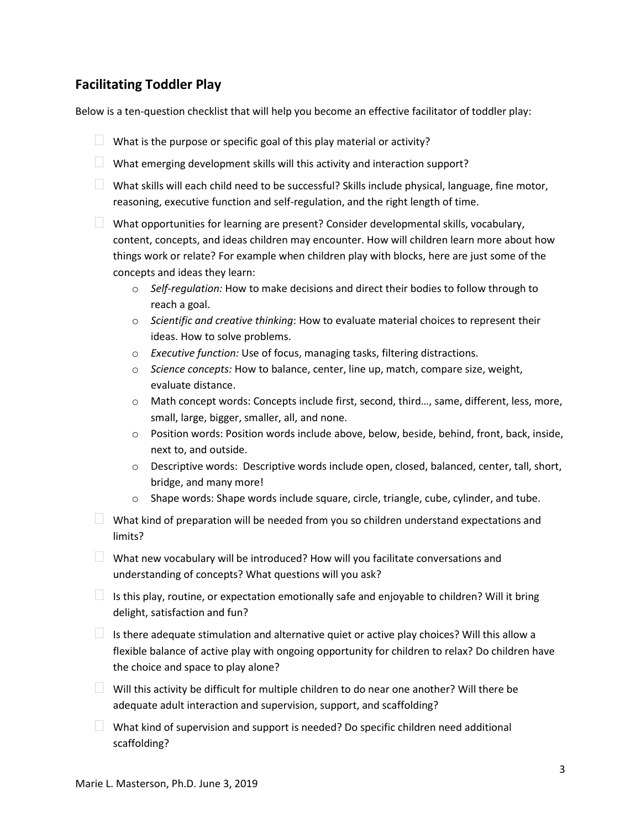## **Facilitating Toddler Play**

Below is a ten-question checklist that will help you become an effective facilitator of toddler play:

- What is the purpose or specific goal of this play material or activity?
- $\Box$  What emerging development skills will this activity and interaction support?
- What skills will each child need to be successful? Skills include physical, language, fine motor, reasoning, executive function and self-regulation, and the right length of time.
- $\Box$  What opportunities for learning are present? Consider developmental skills, vocabulary, content, concepts, and ideas children may encounter. How will children learn more about how things work or relate? For example when children play with blocks, here are just some of the concepts and ideas they learn:
	- o *Self-regulation:* How to make decisions and direct their bodies to follow through to reach a goal.
	- o *Scientific and creative thinking*: How to evaluate material choices to represent their ideas. How to solve problems.
	- o *Executive function:* Use of focus, managing tasks, filtering distractions.
	- o *Science concepts:* How to balance, center, line up, match, compare size, weight, evaluate distance.
	- o Math concept words: Concepts include first, second, third…, same, different, less, more, small, large, bigger, smaller, all, and none.
	- o Position words: Position words include above, below, beside, behind, front, back, inside, next to, and outside.
	- o Descriptive words: Descriptive words include open, closed, balanced, center, tall, short, bridge, and many more!
	- $\circ$  Shape words: Shape words include square, circle, triangle, cube, cylinder, and tube.
- $\Box$  What kind of preparation will be needed from you so children understand expectations and limits?
- $\Box$  What new vocabulary will be introduced? How will you facilitate conversations and understanding of concepts? What questions will you ask?
- $\Box$  Is this play, routine, or expectation emotionally safe and enjoyable to children? Will it bring delight, satisfaction and fun?
- $\Box$  Is there adequate stimulation and alternative quiet or active play choices? Will this allow a flexible balance of active play with ongoing opportunity for children to relax? Do children have the choice and space to play alone?
- $\Box$  Will this activity be difficult for multiple children to do near one another? Will there be adequate adult interaction and supervision, support, and scaffolding?
- $\Box$  What kind of supervision and support is needed? Do specific children need additional scaffolding?